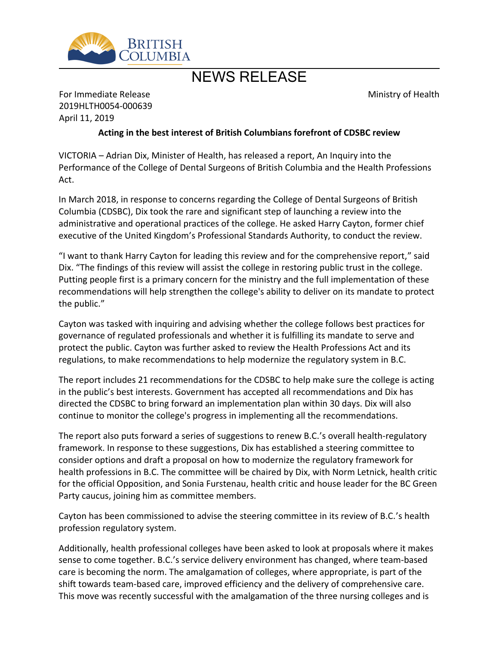

## NEWS RELEASE

Ministry of Health

## For Immediate Release 2019HLTH0054-000639 April 11, 2019

## **Acting in the best interest of British Columbians forefront of CDSBC review**

VICTORIA – Adrian Dix, Minister of Health, has released a report, An Inquiry into the Performance of the College of Dental Surgeons of British Columbia and the Health Professions Act.

In March 2018, in response to concerns regarding the College of Dental Surgeons of British Columbia (CDSBC), Dix took the rare and significant step of launching a review into the administrative and operational practices of the college. He asked Harry Cayton, former chief executive of the United Kingdom's Professional Standards Authority, to conduct the review.

"I want to thank Harry Cayton for leading this review and for the comprehensive report," said Dix. "The findings of this review will assist the college in restoring public trust in the college. Putting people first is a primary concern for the ministry and the full implementation of these recommendations will help strengthen the college's ability to deliver on its mandate to protect the public."

Cayton was tasked with inquiring and advising whether the college follows best practices for governance of regulated professionals and whether it is fulfilling its mandate to serve and protect the public. Cayton was further asked to review the Health Professions Act and its regulations, to make recommendations to help modernize the regulatory system in B.C.

The report includes 21 recommendations for the CDSBC to help make sure the college is acting in the public's best interests. Government has accepted all recommendations and Dix has directed the CDSBC to bring forward an implementation plan within 30 days. Dix will also continue to monitor the college's progress in implementing all the recommendations.

The report also puts forward a series of suggestions to renew B.C.'s overall health-regulatory framework. In response to these suggestions, Dix has established a steering committee to consider options and draft a proposal on how to modernize the regulatory framework for health professions in B.C. The committee will be chaired by Dix, with Norm Letnick, health critic for the official Opposition, and Sonia Furstenau, health critic and house leader for the BC Green Party caucus, joining him as committee members.

Cayton has been commissioned to advise the steering committee in its review of B.C.'s health profession regulatory system.

Additionally, health professional colleges have been asked to look at proposals where it makes sense to come together. B.C.'s service delivery environment has changed, where team-based care is becoming the norm. The amalgamation of colleges, where appropriate, is part of the shift towards team-based care, improved efficiency and the delivery of comprehensive care. This move was recently successful with the amalgamation of the three nursing colleges and is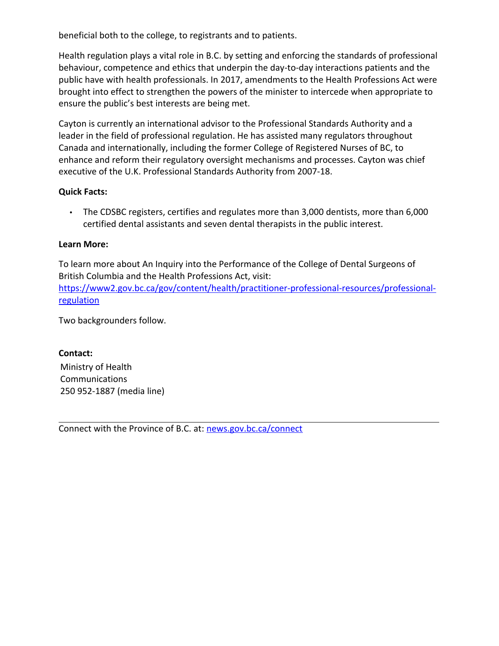beneficial both to the college, to registrants and to patients.

Health regulation plays a vital role in B.C. by setting and enforcing the standards of professional behaviour, competence and ethics that underpin the day-to-day interactions patients and the public have with health professionals. In 2017, amendments to the Health Professions Act were brought into effect to strengthen the powers of the minister to intercede when appropriate to ensure the public's best interests are being met.

Cayton is currently an international advisor to the Professional Standards Authority and a leader in the field of professional regulation. He has assisted many regulators throughout Canada and internationally, including the former College of Registered Nurses of BC, to enhance and reform their regulatory oversight mechanisms and processes. Cayton was chief executive of the U.K. Professional Standards Authority from 2007-18.

## **Quick Facts:**

 The CDSBC registers, certifies and regulates more than 3,000 dentists, more than 6,000 certified dental assistants and seven dental therapists in the public interest.

## **Learn More:**

To learn more about An Inquiry into the Performance of the College of Dental Surgeons of British Columbia and the Health Professions Act, visit: [https://www2.gov.bc.ca/gov/content/health/practitioner-professional-resources/professional](https://www2.gov.bc.ca/gov/content/health/practitioner-professional-resources/professional-regulation)[regulation](https://www2.gov.bc.ca/gov/content/health/practitioner-professional-resources/professional-regulation)

Two backgrounders follow.

#### **Contact:**

Ministry of Health Communications 250 952-1887 (media line)

Connect with the Province of B.C. at: [news.gov.bc.ca/connect](http://news.gov.bc.ca/connect)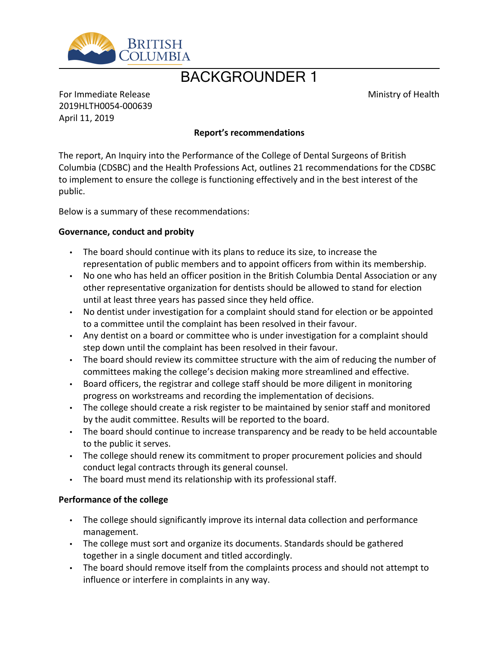

# BACKGROUNDER 1

Ministry of Health

For Immediate Release 2019HLTH0054-000639 April 11, 2019

## **Report͛s recommendations**

The report, An Inquiry into the Performance of the College of Dental Surgeons of British Columbia (CDSBC) and the Health Professions Act, outlines 21 recommendations for the CDSBC to implement to ensure the college is functioning effectively and in the best interest of the public.

Below is a summary of these recommendations:

#### **Governance, conduct and probity**

- The board should continue with its plans to reduce its size, to increase the representation of public members and to appoint officers from within its membership.
- No one who has held an officer position in the British Columbia Dental Association or any other representative organization for dentists should be allowed to stand for election until at least three years has passed since they held office.
- No dentist under investigation for a complaint should stand for election or be appointed to a committee until the complaint has been resolved in their favour.
- Any dentist on a board or committee who is under investigation for a complaint should step down until the complaint has been resolved in their favour.
- The board should review its committee structure with the aim of reducing the number of committees making the college's decision making more streamlined and effective.
- Board officers, the registrar and college staff should be more diligent in monitoring progress on workstreams and recording the implementation of decisions.
- The college should create a risk register to be maintained by senior staff and monitored by the audit committee. Results will be reported to the board.
- The board should continue to increase transparency and be ready to be held accountable to the public it serves.
- The college should renew its commitment to proper procurement policies and should conduct legal contracts through its general counsel.
- The board must mend its relationship with its professional staff.

#### **Performance of the college**

- The college should significantly improve its internal data collection and performance management.
- The college must sort and organize its documents. Standards should be gathered together in a single document and titled accordingly.
- The board should remove itself from the complaints process and should not attempt to influence or interfere in complaints in any way.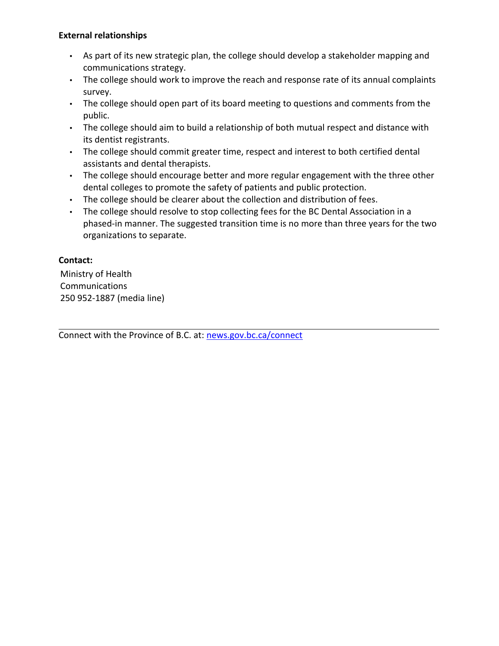## **External relationships**

- As part of its new strategic plan, the college should develop a stakeholder mapping and communications strategy.
- The college should work to improve the reach and response rate of its annual complaints survey.
- The college should open part of its board meeting to questions and comments from the public.
- The college should aim to build a relationship of both mutual respect and distance with its dentist registrants.
- The college should commit greater time, respect and interest to both certified dental assistants and dental therapists.
- The college should encourage better and more regular engagement with the three other dental colleges to promote the safety of patients and public protection.
- The college should be clearer about the collection and distribution of fees.
- The college should resolve to stop collecting fees for the BC Dental Association in a phased-in manner. The suggested transition time is no more than three years for the two organizations to separate.

## **Contact:**

Ministry of Health Communications 250 952-1887 (media line)

Connect with the Province of B.C. at: [news.gov.bc.ca/connect](http://news.gov.bc.ca/connect)